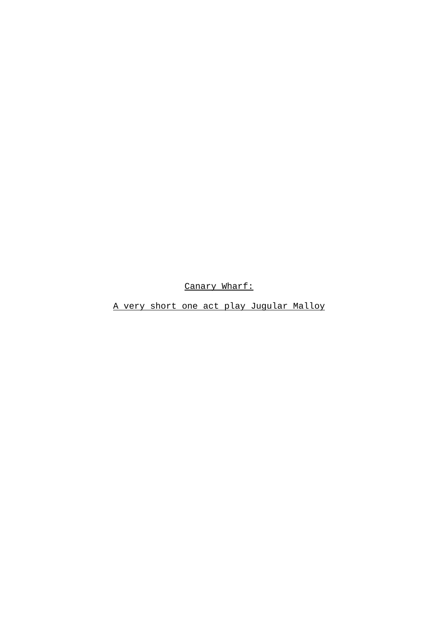Canary Wharf:

A very short one act play Jugular Malloy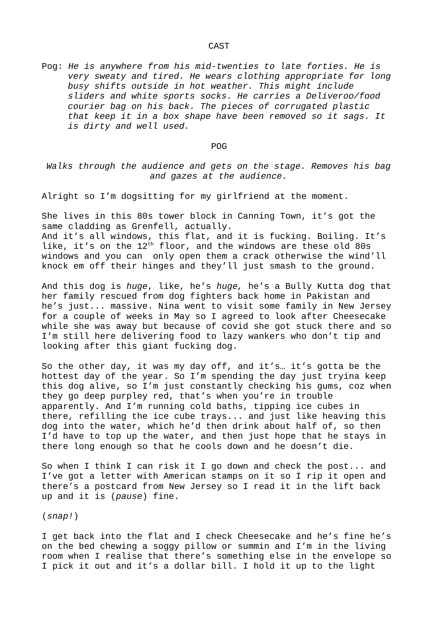Pog: *He is anywhere from his mid-twenties to late forties. He is very sweaty and tired. He wears clothing appropriate for long busy shifts outside in hot weather. This might include sliders and white sports socks. He carries a Deliveroo/food courier bag on his back. The pieces of corrugated plastic that keep it in a box shape have been removed so it sags. It is dirty and well used.*

## POG

*Walks through the audience and gets on the stage. Removes his bag and gazes at the audience.*

Alright so I'm dogsitting for my girlfriend at the moment.

She lives in this 80s tower block in Canning Town, it's got the same cladding as Grenfell, actually.

And it's all windows, this flat, and it is fucking. Boiling. It's like, it's on the 12<sup>th</sup> floor, and the windows are these old 80s windows and you can only open them a crack otherwise the wind'll knock em off their hinges and they'll just smash to the ground.

And this dog is *huge*, like, he's *huge,* he's a Bully Kutta dog that her family rescued from dog fighters back home in Pakistan and he's just... massive. Nina went to visit some family in New Jersey for a couple of weeks in May so I agreed to look after Cheesecake while she was away but because of covid she got stuck there and so I'm still here delivering food to lazy wankers who don't tip and looking after this giant fucking dog.

So the other day, it was my day off, and it's… it's gotta be the hottest day of the year. So I'm spending the day just tryina keep this dog alive, so I'm just constantly checking his gums, coz when they go deep purpley red, that's when you're in trouble apparently. And I'm running cold baths, tipping ice cubes in there, refilling the ice cube trays... and just like heaving this dog into the water, which he'd then drink about half of, so then I'd have to top up the water, and then just hope that he stays in there long enough so that he cools down and he doesn't die.

So when I think I can risk it I go down and check the post... and I've got a letter with American stamps on it so I rip it open and there's a postcard from New Jersey so I read it in the lift back up and it is (*pause*) fine.

(*snap!*)

I get back into the flat and I check Cheesecake and he's fine he's on the bed chewing a soggy pillow or summin and I'm in the living room when I realise that there's something else in the envelope so I pick it out and it's a dollar bill. I hold it up to the light